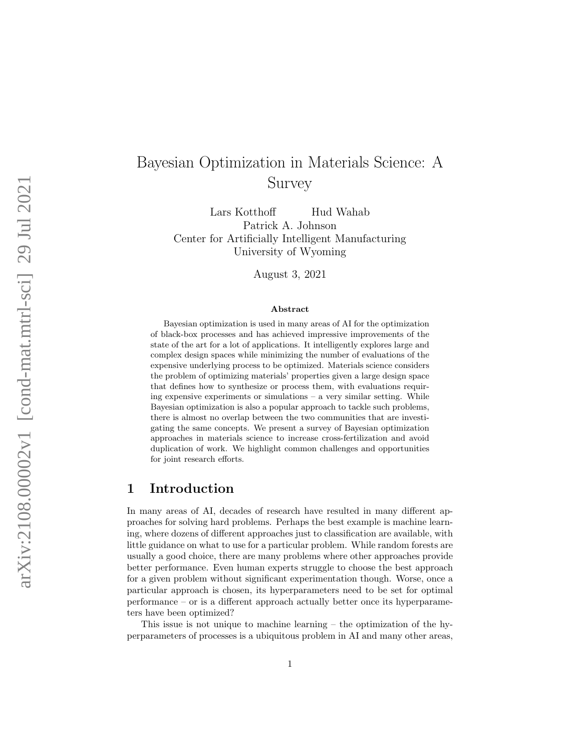# Bayesian Optimization in Materials Science: A Survey

Lars Kotthoff Hud Wahab Patrick A. Johnson Center for Artificially Intelligent Manufacturing University of Wyoming

August 3, 2021

#### Abstract

Bayesian optimization is used in many areas of AI for the optimization of black-box processes and has achieved impressive improvements of the state of the art for a lot of applications. It intelligently explores large and complex design spaces while minimizing the number of evaluations of the expensive underlying process to be optimized. Materials science considers the problem of optimizing materials' properties given a large design space that defines how to synthesize or process them, with evaluations requiring expensive experiments or simulations – a very similar setting. While Bayesian optimization is also a popular approach to tackle such problems, there is almost no overlap between the two communities that are investigating the same concepts. We present a survey of Bayesian optimization approaches in materials science to increase cross-fertilization and avoid duplication of work. We highlight common challenges and opportunities for joint research efforts.

#### 1 Introduction

In many areas of AI, decades of research have resulted in many different approaches for solving hard problems. Perhaps the best example is machine learning, where dozens of different approaches just to classification are available, with little guidance on what to use for a particular problem. While random forests are usually a good choice, there are many problems where other approaches provide better performance. Even human experts struggle to choose the best approach for a given problem without significant experimentation though. Worse, once a particular approach is chosen, its hyperparameters need to be set for optimal performance – or is a different approach actually better once its hyperparameters have been optimized?

This issue is not unique to machine learning – the optimization of the hyperparameters of processes is a ubiquitous problem in AI and many other areas,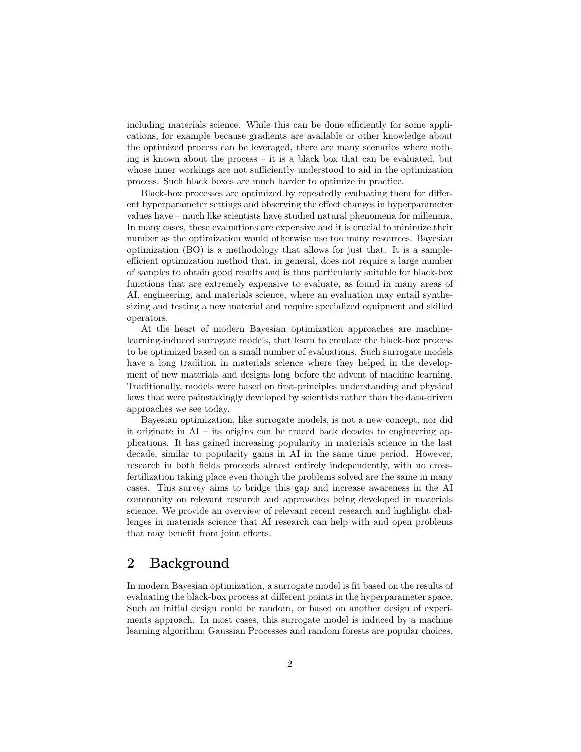including materials science. While this can be done efficiently for some applications, for example because gradients are available or other knowledge about the optimized process can be leveraged, there are many scenarios where nothing is known about the process – it is a black box that can be evaluated, but whose inner workings are not sufficiently understood to aid in the optimization process. Such black boxes are much harder to optimize in practice.

Black-box processes are optimized by repeatedly evaluating them for different hyperparameter settings and observing the effect changes in hyperparameter values have – much like scientists have studied natural phenomena for millennia. In many cases, these evaluations are expensive and it is crucial to minimize their number as the optimization would otherwise use too many resources. Bayesian optimization (BO) is a methodology that allows for just that. It is a sampleefficient optimization method that, in general, does not require a large number of samples to obtain good results and is thus particularly suitable for black-box functions that are extremely expensive to evaluate, as found in many areas of AI, engineering, and materials science, where an evaluation may entail synthesizing and testing a new material and require specialized equipment and skilled operators.

At the heart of modern Bayesian optimization approaches are machinelearning-induced surrogate models, that learn to emulate the black-box process to be optimized based on a small number of evaluations. Such surrogate models have a long tradition in materials science where they helped in the development of new materials and designs long before the advent of machine learning. Traditionally, models were based on first-principles understanding and physical laws that were painstakingly developed by scientists rather than the data-driven approaches we see today.

Bayesian optimization, like surrogate models, is not a new concept, nor did it originate in AI – its origins can be traced back decades to engineering applications. It has gained increasing popularity in materials science in the last decade, similar to popularity gains in AI in the same time period. However, research in both fields proceeds almost entirely independently, with no crossfertilization taking place even though the problems solved are the same in many cases. This survey aims to bridge this gap and increase awareness in the AI community on relevant research and approaches being developed in materials science. We provide an overview of relevant recent research and highlight challenges in materials science that AI research can help with and open problems that may benefit from joint efforts.

# 2 Background

In modern Bayesian optimization, a surrogate model is fit based on the results of evaluating the black-box process at different points in the hyperparameter space. Such an initial design could be random, or based on another design of experiments approach. In most cases, this surrogate model is induced by a machine learning algorithm; Gaussian Processes and random forests are popular choices.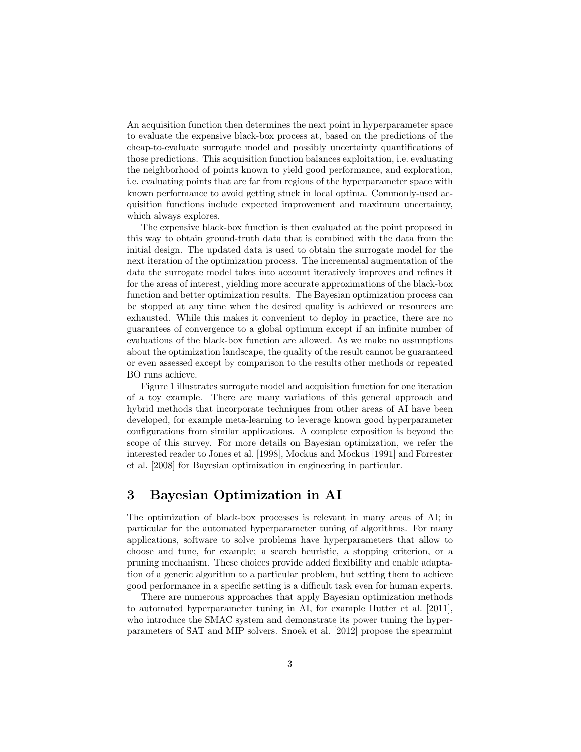An acquisition function then determines the next point in hyperparameter space to evaluate the expensive black-box process at, based on the predictions of the cheap-to-evaluate surrogate model and possibly uncertainty quantifications of those predictions. This acquisition function balances exploitation, i.e. evaluating the neighborhood of points known to yield good performance, and exploration, i.e. evaluating points that are far from regions of the hyperparameter space with known performance to avoid getting stuck in local optima. Commonly-used acquisition functions include expected improvement and maximum uncertainty, which always explores.

The expensive black-box function is then evaluated at the point proposed in this way to obtain ground-truth data that is combined with the data from the initial design. The updated data is used to obtain the surrogate model for the next iteration of the optimization process. The incremental augmentation of the data the surrogate model takes into account iteratively improves and refines it for the areas of interest, yielding more accurate approximations of the black-box function and better optimization results. The Bayesian optimization process can be stopped at any time when the desired quality is achieved or resources are exhausted. While this makes it convenient to deploy in practice, there are no guarantees of convergence to a global optimum except if an infinite number of evaluations of the black-box function are allowed. As we make no assumptions about the optimization landscape, the quality of the result cannot be guaranteed or even assessed except by comparison to the results other methods or repeated BO runs achieve.

Figure [1](#page-3-0) illustrates surrogate model and acquisition function for one iteration of a toy example. There are many variations of this general approach and hybrid methods that incorporate techniques from other areas of AI have been developed, for example meta-learning to leverage known good hyperparameter configurations from similar applications. A complete exposition is beyond the scope of this survey. For more details on Bayesian optimization, we refer the interested reader to [Jones et al.](#page-11-0) [\[1998\]](#page-11-0), [Mockus and Mockus](#page-12-0) [\[1991\]](#page-12-0) and [Forrester](#page-11-1) [et al.](#page-11-1) [\[2008\]](#page-11-1) for Bayesian optimization in engineering in particular.

#### 3 Bayesian Optimization in AI

The optimization of black-box processes is relevant in many areas of AI; in particular for the automated hyperparameter tuning of algorithms. For many applications, software to solve problems have hyperparameters that allow to choose and tune, for example; a search heuristic, a stopping criterion, or a pruning mechanism. These choices provide added flexibility and enable adaptation of a generic algorithm to a particular problem, but setting them to achieve good performance in a specific setting is a difficult task even for human experts.

There are numerous approaches that apply Bayesian optimization methods to automated hyperparameter tuning in AI, for example [Hutter et al.](#page-11-2) [\[2011\]](#page-11-2), who introduce the SMAC system and demonstrate its power tuning the hyperparameters of SAT and MIP solvers. [Snoek et al.](#page-13-0) [\[2012\]](#page-13-0) propose the spearmint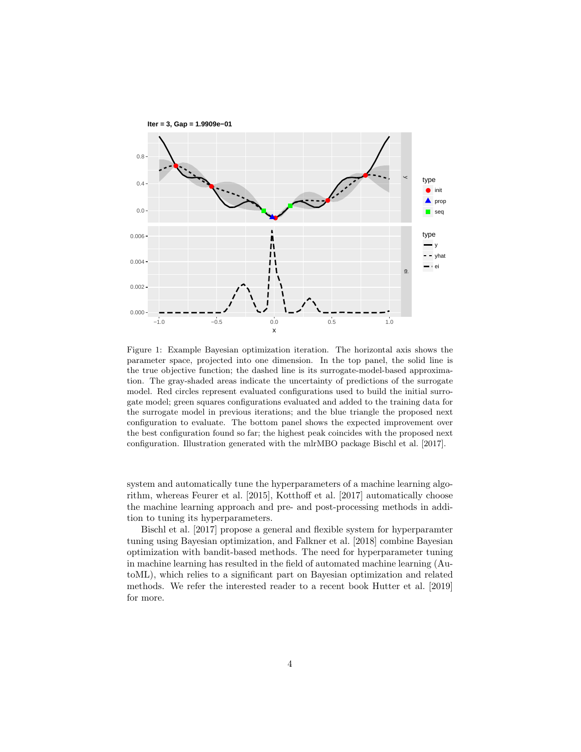<span id="page-3-0"></span>

Figure 1: Example Bayesian optimization iteration. The horizontal axis shows the parameter space, projected into one dimension. In the top panel, the solid line is the true objective function; the dashed line is its surrogate-model-based approximation. The gray-shaded areas indicate the uncertainty of predictions of the surrogate model. Red circles represent evaluated configurations used to build the initial surrogate model; green squares configurations evaluated and added to the training data for the surrogate model in previous iterations; and the blue triangle the proposed next configuration to evaluate. The bottom panel shows the expected improvement over the best configuration found so far; the highest peak coincides with the proposed next configuration. Illustration generated with the mlrMBO package [Bischl et al.](#page-10-0) [\[2017\]](#page-10-0).

system and automatically tune the hyperparameters of a machine learning algorithm, whereas [Feurer et al.](#page-11-3) [\[2015\]](#page-11-3), [Kotthoff et al.](#page-12-1) [\[2017\]](#page-12-1) automatically choose the machine learning approach and pre- and post-processing methods in addition to tuning its hyperparameters.

[Bischl et al.](#page-10-0) [\[2017\]](#page-10-0) propose a general and flexible system for hyperparamter tuning using Bayesian optimization, and [Falkner et al.](#page-11-4) [\[2018\]](#page-11-4) combine Bayesian optimization with bandit-based methods. The need for hyperparameter tuning in machine learning has resulted in the field of automated machine learning (AutoML), which relies to a significant part on Bayesian optimization and related methods. We refer the interested reader to a recent book [Hutter et al.](#page-11-5) [\[2019\]](#page-11-5) for more.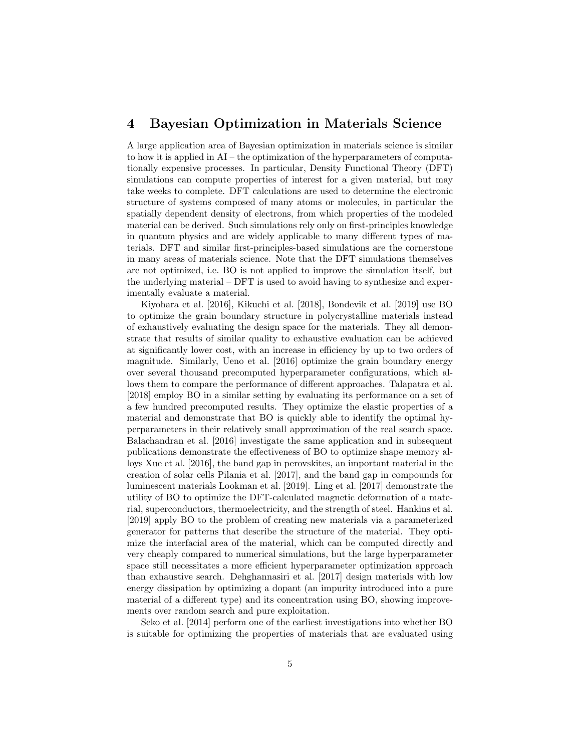### 4 Bayesian Optimization in Materials Science

A large application area of Bayesian optimization in materials science is similar to how it is applied in AI – the optimization of the hyperparameters of computationally expensive processes. In particular, Density Functional Theory (DFT) simulations can compute properties of interest for a given material, but may take weeks to complete. DFT calculations are used to determine the electronic structure of systems composed of many atoms or molecules, in particular the spatially dependent density of electrons, from which properties of the modeled material can be derived. Such simulations rely only on first-principles knowledge in quantum physics and are widely applicable to many different types of materials. DFT and similar first-principles-based simulations are the cornerstone in many areas of materials science. Note that the DFT simulations themselves are not optimized, i.e. BO is not applied to improve the simulation itself, but the underlying material – DFT is used to avoid having to synthesize and experimentally evaluate a material.

[Kiyohara et al.](#page-12-2) [\[2016\]](#page-12-2), [Kikuchi et al.](#page-12-3) [\[2018\]](#page-12-3), [Bondevik et al.](#page-10-1) [\[2019\]](#page-10-1) use BO to optimize the grain boundary structure in polycrystalline materials instead of exhaustively evaluating the design space for the materials. They all demonstrate that results of similar quality to exhaustive evaluation can be achieved at significantly lower cost, with an increase in efficiency by up to two orders of magnitude. Similarly, [Ueno et al.](#page-14-0) [\[2016\]](#page-14-0) optimize the grain boundary energy over several thousand precomputed hyperparameter configurations, which allows them to compare the performance of different approaches. [Talapatra et al.](#page-13-1) [\[2018\]](#page-13-1) employ BO in a similar setting by evaluating its performance on a set of a few hundred precomputed results. They optimize the elastic properties of a material and demonstrate that BO is quickly able to identify the optimal hyperparameters in their relatively small approximation of the real search space. [Balachandran et al.](#page-10-2) [\[2016\]](#page-10-2) investigate the same application and in subsequent publications demonstrate the effectiveness of BO to optimize shape memory alloys [Xue et al.](#page-14-1) [\[2016\]](#page-14-1), the band gap in perovskites, an important material in the creation of solar cells [Pilania et al.](#page-13-2) [\[2017\]](#page-13-2), and the band gap in compounds for luminescent materials [Lookman et al.](#page-12-4) [\[2019\]](#page-12-4). [Ling et al.](#page-12-5) [\[2017\]](#page-12-5) demonstrate the utility of BO to optimize the DFT-calculated magnetic deformation of a material, superconductors, thermoelectricity, and the strength of steel. [Hankins et al.](#page-11-6) [\[2019\]](#page-11-6) apply BO to the problem of creating new materials via a parameterized generator for patterns that describe the structure of the material. They optimize the interfacial area of the material, which can be computed directly and very cheaply compared to numerical simulations, but the large hyperparameter space still necessitates a more efficient hyperparameter optimization approach than exhaustive search. [Dehghannasiri et al.](#page-10-3) [\[2017\]](#page-10-3) design materials with low energy dissipation by optimizing a dopant (an impurity introduced into a pure material of a different type) and its concentration using BO, showing improvements over random search and pure exploitation.

[Seko et al.](#page-13-3) [\[2014\]](#page-13-3) perform one of the earliest investigations into whether BO is suitable for optimizing the properties of materials that are evaluated using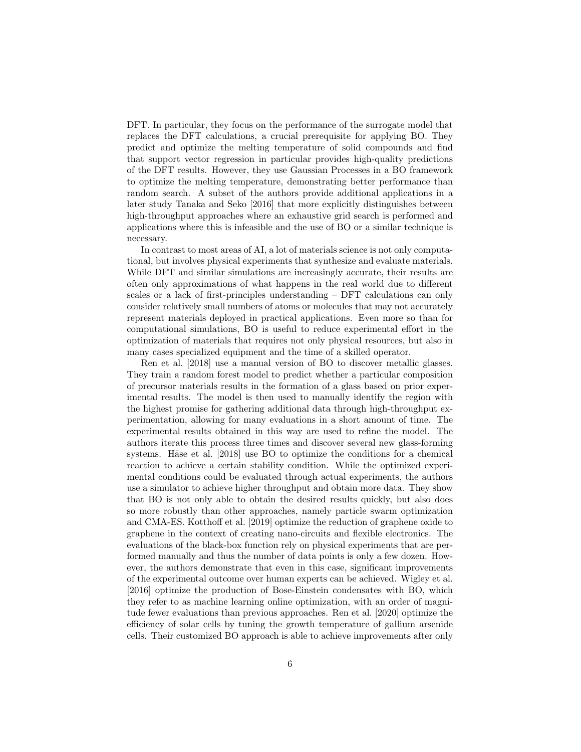DFT. In particular, they focus on the performance of the surrogate model that replaces the DFT calculations, a crucial prerequisite for applying BO. They predict and optimize the melting temperature of solid compounds and find that support vector regression in particular provides high-quality predictions of the DFT results. However, they use Gaussian Processes in a BO framework to optimize the melting temperature, demonstrating better performance than random search. A subset of the authors provide additional applications in a later study [Tanaka and Seko](#page-14-2) [\[2016\]](#page-14-2) that more explicitly distinguishes between high-throughput approaches where an exhaustive grid search is performed and applications where this is infeasible and the use of BO or a similar technique is necessary.

In contrast to most areas of AI, a lot of materials science is not only computational, but involves physical experiments that synthesize and evaluate materials. While DFT and similar simulations are increasingly accurate, their results are often only approximations of what happens in the real world due to different scales or a lack of first-principles understanding – DFT calculations can only consider relatively small numbers of atoms or molecules that may not accurately represent materials deployed in practical applications. Even more so than for computational simulations, BO is useful to reduce experimental effort in the optimization of materials that requires not only physical resources, but also in many cases specialized equipment and the time of a skilled operator.

[Ren et al.](#page-13-4) [\[2018\]](#page-13-4) use a manual version of BO to discover metallic glasses. They train a random forest model to predict whether a particular composition of precursor materials results in the formation of a glass based on prior experimental results. The model is then used to manually identify the region with the highest promise for gathering additional data through high-throughput experimentation, allowing for many evaluations in a short amount of time. The experimental results obtained in this way are used to refine the model. The authors iterate this process three times and discover several new glass-forming systems. Häse et al. [\[2018\]](#page-11-7) use BO to optimize the conditions for a chemical reaction to achieve a certain stability condition. While the optimized experimental conditions could be evaluated through actual experiments, the authors use a simulator to achieve higher throughput and obtain more data. They show that BO is not only able to obtain the desired results quickly, but also does so more robustly than other approaches, namely particle swarm optimization and CMA-ES. [Kotthoff et al.](#page-12-6) [\[2019\]](#page-12-6) optimize the reduction of graphene oxide to graphene in the context of creating nano-circuits and flexible electronics. The evaluations of the black-box function rely on physical experiments that are performed manually and thus the number of data points is only a few dozen. However, the authors demonstrate that even in this case, significant improvements of the experimental outcome over human experts can be achieved. [Wigley et al.](#page-14-3) [\[2016\]](#page-14-3) optimize the production of Bose-Einstein condensates with BO, which they refer to as machine learning online optimization, with an order of magnitude fewer evaluations than previous approaches. [Ren et al.](#page-13-5) [\[2020\]](#page-13-5) optimize the efficiency of solar cells by tuning the growth temperature of gallium arsenide cells. Their customized BO approach is able to achieve improvements after only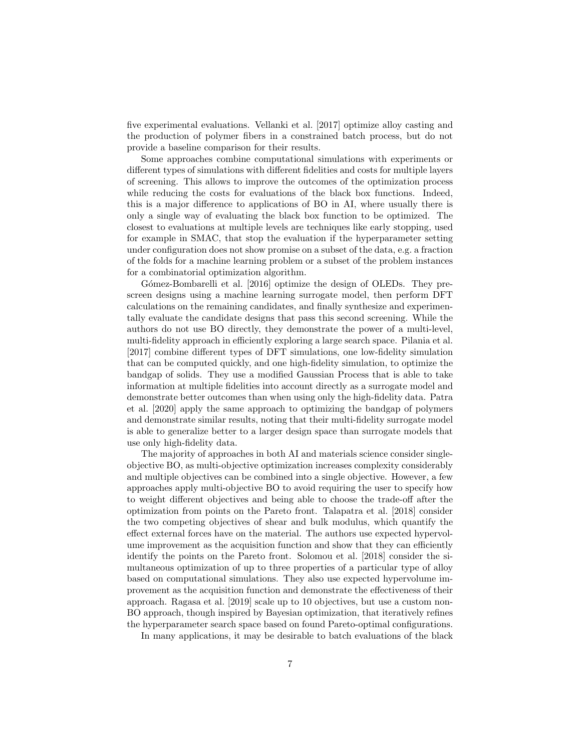five experimental evaluations. [Vellanki et al.](#page-14-4) [\[2017\]](#page-14-4) optimize alloy casting and the production of polymer fibers in a constrained batch process, but do not provide a baseline comparison for their results.

Some approaches combine computational simulations with experiments or different types of simulations with different fidelities and costs for multiple layers of screening. This allows to improve the outcomes of the optimization process while reducing the costs for evaluations of the black box functions. Indeed, this is a major difference to applications of BO in AI, where usually there is only a single way of evaluating the black box function to be optimized. The closest to evaluations at multiple levels are techniques like early stopping, used for example in SMAC, that stop the evaluation if the hyperparameter setting under configuration does not show promise on a subset of the data, e.g. a fraction of the folds for a machine learning problem or a subset of the problem instances for a combinatorial optimization algorithm.

Gómez-Bombarelli et al. [\[2016\]](#page-11-8) optimize the design of OLEDs. They prescreen designs using a machine learning surrogate model, then perform DFT calculations on the remaining candidates, and finally synthesize and experimentally evaluate the candidate designs that pass this second screening. While the authors do not use BO directly, they demonstrate the power of a multi-level, multi-fidelity approach in efficiently exploring a large search space. [Pilania et al.](#page-13-2) [\[2017\]](#page-13-2) combine different types of DFT simulations, one low-fidelity simulation that can be computed quickly, and one high-fidelity simulation, to optimize the bandgap of solids. They use a modified Gaussian Process that is able to take information at multiple fidelities into account directly as a surrogate model and demonstrate better outcomes than when using only the high-fidelity data. [Patra](#page-12-7) [et al.](#page-12-7) [\[2020\]](#page-12-7) apply the same approach to optimizing the bandgap of polymers and demonstrate similar results, noting that their multi-fidelity surrogate model is able to generalize better to a larger design space than surrogate models that use only high-fidelity data.

The majority of approaches in both AI and materials science consider singleobjective BO, as multi-objective optimization increases complexity considerably and multiple objectives can be combined into a single objective. However, a few approaches apply multi-objective BO to avoid requiring the user to specify how to weight different objectives and being able to choose the trade-off after the optimization from points on the Pareto front. [Talapatra et al.](#page-13-1) [\[2018\]](#page-13-1) consider the two competing objectives of shear and bulk modulus, which quantify the effect external forces have on the material. The authors use expected hypervolume improvement as the acquisition function and show that they can efficiently identify the points on the Pareto front. [Solomou et al.](#page-13-6) [\[2018\]](#page-13-6) consider the simultaneous optimization of up to three properties of a particular type of alloy based on computational simulations. They also use expected hypervolume improvement as the acquisition function and demonstrate the effectiveness of their approach. [Ragasa et al.](#page-13-7) [\[2019\]](#page-13-7) scale up to 10 objectives, but use a custom non-BO approach, though inspired by Bayesian optimization, that iteratively refines the hyperparameter search space based on found Pareto-optimal configurations.

In many applications, it may be desirable to batch evaluations of the black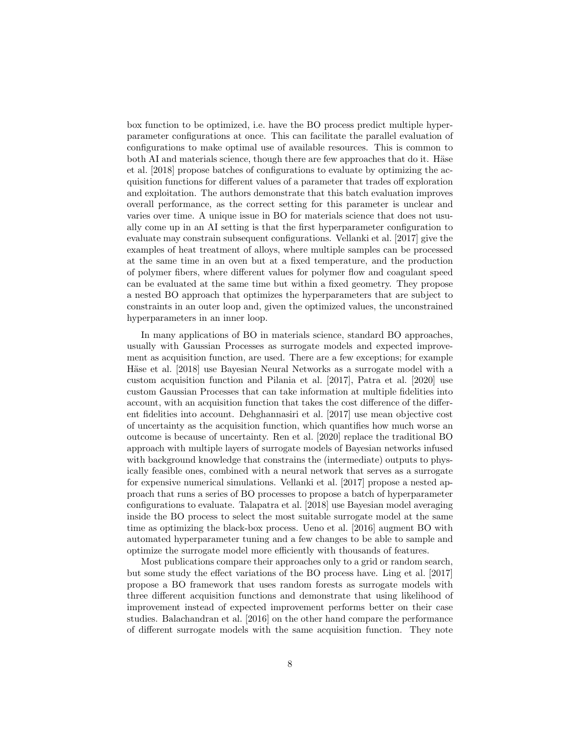box function to be optimized, i.e. have the BO process predict multiple hyperparameter configurations at once. This can facilitate the parallel evaluation of configurations to make optimal use of available resources. This is common to both AI and materials science, though there are few approaches that do it. Häse [et al.](#page-11-7) [\[2018\]](#page-11-7) propose batches of configurations to evaluate by optimizing the acquisition functions for different values of a parameter that trades off exploration and exploitation. The authors demonstrate that this batch evaluation improves overall performance, as the correct setting for this parameter is unclear and varies over time. A unique issue in BO for materials science that does not usually come up in an AI setting is that the first hyperparameter configuration to evaluate may constrain subsequent configurations. [Vellanki et al.](#page-14-4) [\[2017\]](#page-14-4) give the examples of heat treatment of alloys, where multiple samples can be processed at the same time in an oven but at a fixed temperature, and the production of polymer fibers, where different values for polymer flow and coagulant speed can be evaluated at the same time but within a fixed geometry. They propose a nested BO approach that optimizes the hyperparameters that are subject to constraints in an outer loop and, given the optimized values, the unconstrained hyperparameters in an inner loop.

In many applications of BO in materials science, standard BO approaches, usually with Gaussian Processes as surrogate models and expected improvement as acquisition function, are used. There are a few exceptions; for example Häse et al. [\[2018\]](#page-11-7) use Bayesian Neural Networks as a surrogate model with a custom acquisition function and [Pilania et al.](#page-13-2) [\[2017\]](#page-13-2), [Patra et al.](#page-12-7) [\[2020\]](#page-12-7) use custom Gaussian Processes that can take information at multiple fidelities into account, with an acquisition function that takes the cost difference of the different fidelities into account. [Dehghannasiri et al.](#page-10-3) [\[2017\]](#page-10-3) use mean objective cost of uncertainty as the acquisition function, which quantifies how much worse an outcome is because of uncertainty. [Ren et al.](#page-13-5) [\[2020\]](#page-13-5) replace the traditional BO approach with multiple layers of surrogate models of Bayesian networks infused with background knowledge that constrains the (intermediate) outputs to physically feasible ones, combined with a neural network that serves as a surrogate for expensive numerical simulations. [Vellanki et al.](#page-14-4) [\[2017\]](#page-14-4) propose a nested approach that runs a series of BO processes to propose a batch of hyperparameter configurations to evaluate. [Talapatra et al.](#page-13-1) [\[2018\]](#page-13-1) use Bayesian model averaging inside the BO process to select the most suitable surrogate model at the same time as optimizing the black-box process. [Ueno et al.](#page-14-0) [\[2016\]](#page-14-0) augment BO with automated hyperparameter tuning and a few changes to be able to sample and optimize the surrogate model more efficiently with thousands of features.

Most publications compare their approaches only to a grid or random search, but some study the effect variations of the BO process have. [Ling et al.](#page-12-5) [\[2017\]](#page-12-5) propose a BO framework that uses random forests as surrogate models with three different acquisition functions and demonstrate that using likelihood of improvement instead of expected improvement performs better on their case studies. [Balachandran et al.](#page-10-2) [\[2016\]](#page-10-2) on the other hand compare the performance of different surrogate models with the same acquisition function. They note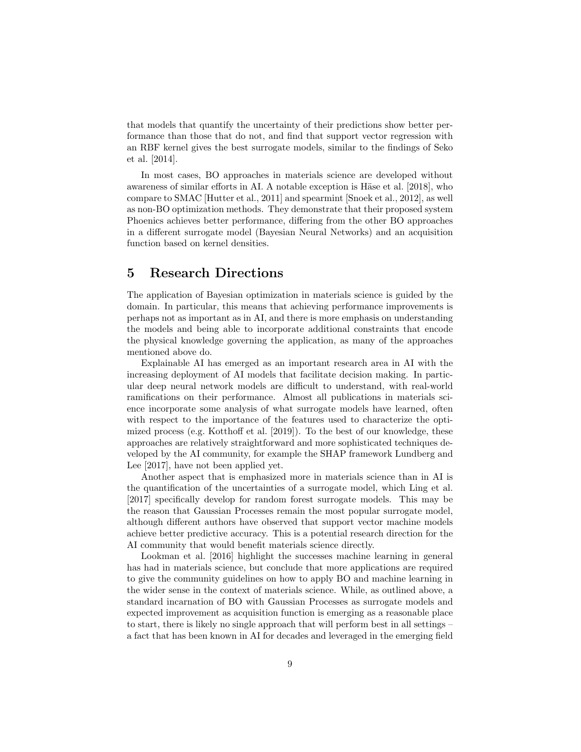that models that quantify the uncertainty of their predictions show better performance than those that do not, and find that support vector regression with an RBF kernel gives the best surrogate models, similar to the findings of [Seko](#page-13-3) [et al.](#page-13-3) [\[2014\]](#page-13-3).

In most cases, BO approaches in materials science are developed without awareness of similar efforts in AI. A notable exception is Häse et al. [\[2018\]](#page-11-7), who compare to SMAC [\[Hutter et al., 2011\]](#page-11-2) and spearmint [\[Snoek et al., 2012\]](#page-13-0), as well as non-BO optimization methods. They demonstrate that their proposed system Phoenics achieves better performance, differing from the other BO approaches in a different surrogate model (Bayesian Neural Networks) and an acquisition function based on kernel densities.

### 5 Research Directions

The application of Bayesian optimization in materials science is guided by the domain. In particular, this means that achieving performance improvements is perhaps not as important as in AI, and there is more emphasis on understanding the models and being able to incorporate additional constraints that encode the physical knowledge governing the application, as many of the approaches mentioned above do.

Explainable AI has emerged as an important research area in AI with the increasing deployment of AI models that facilitate decision making. In particular deep neural network models are difficult to understand, with real-world ramifications on their performance. Almost all publications in materials science incorporate some analysis of what surrogate models have learned, often with respect to the importance of the features used to characterize the optimized process (e.g. [Kotthoff et al.](#page-12-6) [\[2019\]](#page-12-6)). To the best of our knowledge, these approaches are relatively straightforward and more sophisticated techniques developed by the AI community, for example the SHAP framework [Lundberg and](#page-12-8) [Lee](#page-12-8) [\[2017\]](#page-12-8), have not been applied yet.

Another aspect that is emphasized more in materials science than in AI is the quantification of the uncertainties of a surrogate model, which [Ling et al.](#page-12-5) [\[2017\]](#page-12-5) specifically develop for random forest surrogate models. This may be the reason that Gaussian Processes remain the most popular surrogate model, although different authors have observed that support vector machine models achieve better predictive accuracy. This is a potential research direction for the AI community that would benefit materials science directly.

[Lookman et al.](#page-12-9) [\[2016\]](#page-12-9) highlight the successes machine learning in general has had in materials science, but conclude that more applications are required to give the community guidelines on how to apply BO and machine learning in the wider sense in the context of materials science. While, as outlined above, a standard incarnation of BO with Gaussian Processes as surrogate models and expected improvement as acquisition function is emerging as a reasonable place to start, there is likely no single approach that will perform best in all settings – a fact that has been known in AI for decades and leveraged in the emerging field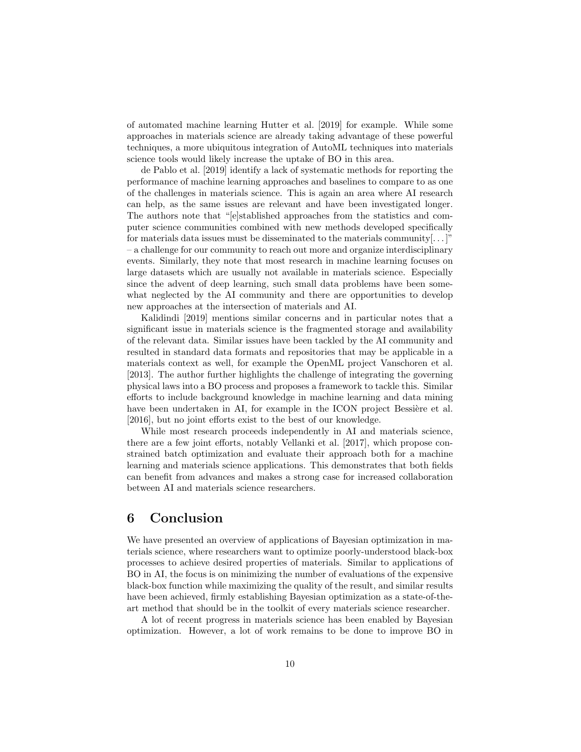of automated machine learning [Hutter et al.](#page-11-5) [\[2019\]](#page-11-5) for example. While some approaches in materials science are already taking advantage of these powerful techniques, a more ubiquitous integration of AutoML techniques into materials science tools would likely increase the uptake of BO in this area.

[de Pablo et al.](#page-10-4) [\[2019\]](#page-10-4) identify a lack of systematic methods for reporting the performance of machine learning approaches and baselines to compare to as one of the challenges in materials science. This is again an area where AI research can help, as the same issues are relevant and have been investigated longer. The authors note that "[e]stablished approaches from the statistics and computer science communities combined with new methods developed specifically for materials data issues must be disseminated to the materials community[. . . ]" – a challenge for our community to reach out more and organize interdisciplinary events. Similarly, they note that most research in machine learning focuses on large datasets which are usually not available in materials science. Especially since the advent of deep learning, such small data problems have been somewhat neglected by the AI community and there are opportunities to develop new approaches at the intersection of materials and AI.

[Kalidindi](#page-11-9) [\[2019\]](#page-11-9) mentions similar concerns and in particular notes that a significant issue in materials science is the fragmented storage and availability of the relevant data. Similar issues have been tackled by the AI community and resulted in standard data formats and repositories that may be applicable in a materials context as well, for example the OpenML project [Vanschoren et al.](#page-14-5) [\[2013\]](#page-14-5). The author further highlights the challenge of integrating the governing physical laws into a BO process and proposes a framework to tackle this. Similar efforts to include background knowledge in machine learning and data mining have been undertaken in AI, for example in the ICON project Bessière et al. [\[2016\]](#page-10-5), but no joint efforts exist to the best of our knowledge.

While most research proceeds independently in AI and materials science, there are a few joint efforts, notably [Vellanki et al.](#page-14-4) [\[2017\]](#page-14-4), which propose constrained batch optimization and evaluate their approach both for a machine learning and materials science applications. This demonstrates that both fields can benefit from advances and makes a strong case for increased collaboration between AI and materials science researchers.

# 6 Conclusion

We have presented an overview of applications of Bayesian optimization in materials science, where researchers want to optimize poorly-understood black-box processes to achieve desired properties of materials. Similar to applications of BO in AI, the focus is on minimizing the number of evaluations of the expensive black-box function while maximizing the quality of the result, and similar results have been achieved, firmly establishing Bayesian optimization as a state-of-theart method that should be in the toolkit of every materials science researcher.

A lot of recent progress in materials science has been enabled by Bayesian optimization. However, a lot of work remains to be done to improve BO in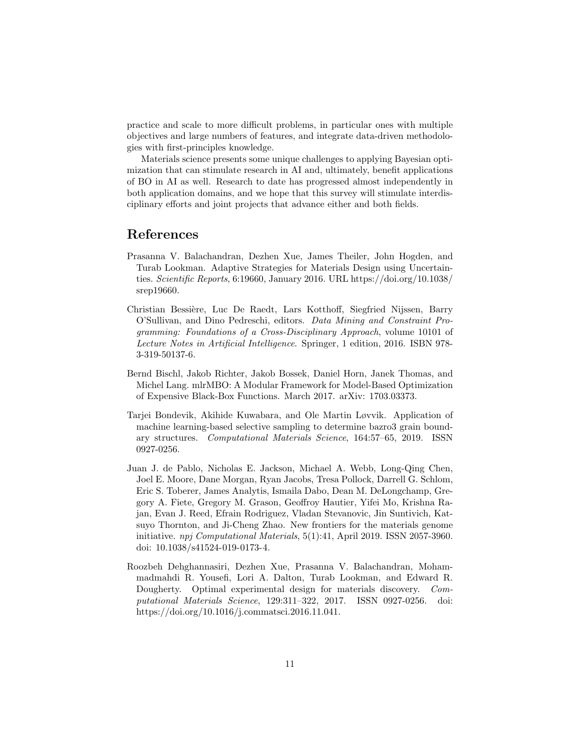practice and scale to more difficult problems, in particular ones with multiple objectives and large numbers of features, and integrate data-driven methodologies with first-principles knowledge.

Materials science presents some unique challenges to applying Bayesian optimization that can stimulate research in AI and, ultimately, benefit applications of BO in AI as well. Research to date has progressed almost independently in both application domains, and we hope that this survey will stimulate interdisciplinary efforts and joint projects that advance either and both fields.

### References

- <span id="page-10-2"></span>Prasanna V. Balachandran, Dezhen Xue, James Theiler, John Hogden, and Turab Lookman. Adaptive Strategies for Materials Design using Uncertainties. Scientific Reports, 6:19660, January 2016. URL [https://doi.org/10.1038/](https://doi.org/10.1038/srep19660) [srep19660.](https://doi.org/10.1038/srep19660)
- <span id="page-10-5"></span>Christian Bessière, Luc De Raedt, Lars Kotthoff, Siegfried Nijssen, Barry O'Sullivan, and Dino Pedreschi, editors. Data Mining and Constraint Programming: Foundations of a Cross-Disciplinary Approach, volume 10101 of Lecture Notes in Artificial Intelligence. Springer, 1 edition, 2016. ISBN 978- 3-319-50137-6.
- <span id="page-10-0"></span>Bernd Bischl, Jakob Richter, Jakob Bossek, Daniel Horn, Janek Thomas, and Michel Lang. mlrMBO: A Modular Framework for Model-Based Optimization of Expensive Black-Box Functions. March 2017. arXiv: 1703.03373.
- <span id="page-10-1"></span>Tarjei Bondevik, Akihide Kuwabara, and Ole Martin Løvvik. Application of machine learning-based selective sampling to determine bazro3 grain boundary structures. Computational Materials Science, 164:57–65, 2019. ISSN 0927-0256.
- <span id="page-10-4"></span>Juan J. de Pablo, Nicholas E. Jackson, Michael A. Webb, Long-Qing Chen, Joel E. Moore, Dane Morgan, Ryan Jacobs, Tresa Pollock, Darrell G. Schlom, Eric S. Toberer, James Analytis, Ismaila Dabo, Dean M. DeLongchamp, Gregory A. Fiete, Gregory M. Grason, Geoffroy Hautier, Yifei Mo, Krishna Rajan, Evan J. Reed, Efrain Rodriguez, Vladan Stevanovic, Jin Suntivich, Katsuyo Thornton, and Ji-Cheng Zhao. New frontiers for the materials genome initiative. npj Computational Materials, 5(1):41, April 2019. ISSN 2057-3960. doi: 10.1038/s41524-019-0173-4.
- <span id="page-10-3"></span>Roozbeh Dehghannasiri, Dezhen Xue, Prasanna V. Balachandran, Mohammadmahdi R. Yousefi, Lori A. Dalton, Turab Lookman, and Edward R. Dougherty. Optimal experimental design for materials discovery. Computational Materials Science, 129:311–322, 2017. ISSN 0927-0256. doi: https://doi.org/10.1016/j.commatsci.2016.11.041.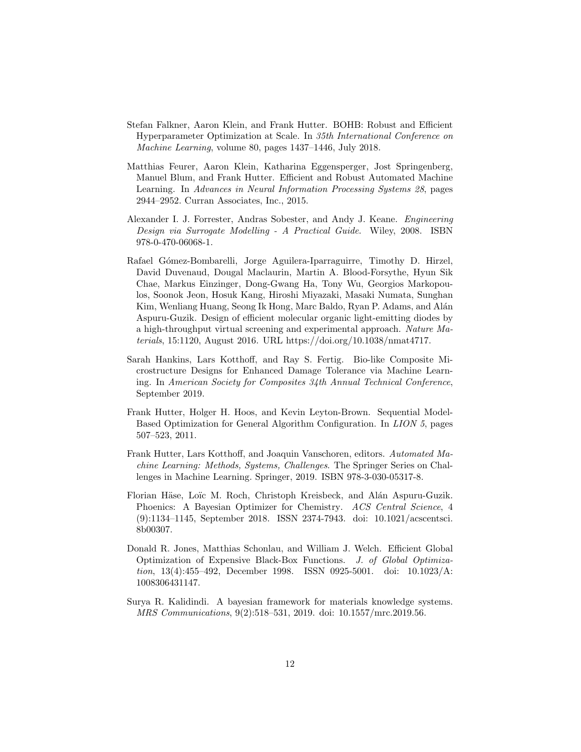- <span id="page-11-4"></span>Stefan Falkner, Aaron Klein, and Frank Hutter. BOHB: Robust and Efficient Hyperparameter Optimization at Scale. In 35th International Conference on Machine Learning, volume 80, pages 1437–1446, July 2018.
- <span id="page-11-3"></span>Matthias Feurer, Aaron Klein, Katharina Eggensperger, Jost Springenberg, Manuel Blum, and Frank Hutter. Efficient and Robust Automated Machine Learning. In Advances in Neural Information Processing Systems 28, pages 2944–2952. Curran Associates, Inc., 2015.
- <span id="page-11-1"></span>Alexander I. J. Forrester, Andras Sobester, and Andy J. Keane. Engineering Design via Surrogate Modelling - A Practical Guide. Wiley, 2008. ISBN 978-0-470-06068-1.
- <span id="page-11-8"></span>Rafael Gómez-Bombarelli, Jorge Aguilera-Iparraguirre, Timothy D. Hirzel, David Duvenaud, Dougal Maclaurin, Martin A. Blood-Forsythe, Hyun Sik Chae, Markus Einzinger, Dong-Gwang Ha, Tony Wu, Georgios Markopoulos, Soonok Jeon, Hosuk Kang, Hiroshi Miyazaki, Masaki Numata, Sunghan Kim, Wenliang Huang, Seong Ik Hong, Marc Baldo, Ryan P. Adams, and Alán Aspuru-Guzik. Design of efficient molecular organic light-emitting diodes by a high-throughput virtual screening and experimental approach. Nature Materials, 15:1120, August 2016. URL [https://doi.org/10.1038/nmat4717.](https://doi.org/10.1038/nmat4717)
- <span id="page-11-6"></span>Sarah Hankins, Lars Kotthoff, and Ray S. Fertig. Bio-like Composite Microstructure Designs for Enhanced Damage Tolerance via Machine Learning. In American Society for Composites 34th Annual Technical Conference, September 2019.
- <span id="page-11-2"></span>Frank Hutter, Holger H. Hoos, and Kevin Leyton-Brown. Sequential Model-Based Optimization for General Algorithm Configuration. In LION 5, pages 507–523, 2011.
- <span id="page-11-5"></span>Frank Hutter, Lars Kotthoff, and Joaquin Vanschoren, editors. Automated Machine Learning: Methods, Systems, Challenges. The Springer Series on Challenges in Machine Learning. Springer, 2019. ISBN 978-3-030-05317-8.
- <span id="page-11-7"></span>Florian Häse, Loïc M. Roch, Christoph Kreisbeck, and Alán Aspuru-Guzik. Phoenics: A Bayesian Optimizer for Chemistry. ACS Central Science, 4 (9):1134–1145, September 2018. ISSN 2374-7943. doi: 10.1021/acscentsci. 8b00307.
- <span id="page-11-0"></span>Donald R. Jones, Matthias Schonlau, and William J. Welch. Efficient Global Optimization of Expensive Black-Box Functions. J. of Global Optimization, 13(4):455–492, December 1998. ISSN 0925-5001. doi: 10.1023/A: 1008306431147.
- <span id="page-11-9"></span>Surya R. Kalidindi. A bayesian framework for materials knowledge systems. MRS Communications, 9(2):518–531, 2019. doi: 10.1557/mrc.2019.56.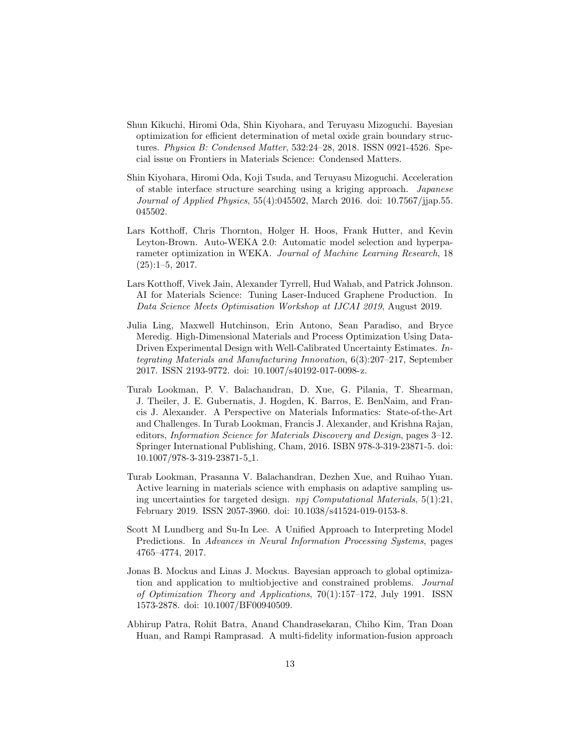- <span id="page-12-3"></span>Shun Kikuchi, Hiromi Oda, Shin Kiyohara, and Teruyasu Mizoguchi. Bayesian optimization for efficient determination of metal oxide grain boundary structures. Physica B: Condensed Matter, 532:24–28, 2018. ISSN 0921-4526. Special issue on Frontiers in Materials Science: Condensed Matters.
- <span id="page-12-2"></span>Shin Kiyohara, Hiromi Oda, Koji Tsuda, and Teruyasu Mizoguchi. Acceleration of stable interface structure searching using a kriging approach. Japanese Journal of Applied Physics, 55(4):045502, March 2016. doi: 10.7567/jjap.55. 045502.
- <span id="page-12-1"></span>Lars Kotthoff, Chris Thornton, Holger H. Hoos, Frank Hutter, and Kevin Leyton-Brown. Auto-WEKA 2.0: Automatic model selection and hyperparameter optimization in WEKA. Journal of Machine Learning Research, 18 (25):1–5, 2017.
- <span id="page-12-6"></span>Lars Kotthoff, Vivek Jain, Alexander Tyrrell, Hud Wahab, and Patrick Johnson. AI for Materials Science: Tuning Laser-Induced Graphene Production. In Data Science Meets Optimisation Workshop at IJCAI 2019, August 2019.
- <span id="page-12-5"></span>Julia Ling, Maxwell Hutchinson, Erin Antono, Sean Paradiso, and Bryce Meredig. High-Dimensional Materials and Process Optimization Using Data-Driven Experimental Design with Well-Calibrated Uncertainty Estimates. Integrating Materials and Manufacturing Innovation, 6(3):207–217, September 2017. ISSN 2193-9772. doi: 10.1007/s40192-017-0098-z.
- <span id="page-12-9"></span>Turab Lookman, P. V. Balachandran, D. Xue, G. Pilania, T. Shearman, J. Theiler, J. E. Gubernatis, J. Hogden, K. Barros, E. BenNaim, and Francis J. Alexander. A Perspective on Materials Informatics: State-of-the-Art and Challenges. In Turab Lookman, Francis J. Alexander, and Krishna Rajan, editors, Information Science for Materials Discovery and Design, pages 3–12. Springer International Publishing, Cham, 2016. ISBN 978-3-319-23871-5. doi: 10.1007/978-3-319-23871-5 1.
- <span id="page-12-4"></span>Turab Lookman, Prasanna V. Balachandran, Dezhen Xue, and Ruihao Yuan. Active learning in materials science with emphasis on adaptive sampling using uncertainties for targeted design. npj Computational Materials, 5(1):21, February 2019. ISSN 2057-3960. doi: 10.1038/s41524-019-0153-8.
- <span id="page-12-8"></span>Scott M Lundberg and Su-In Lee. A Unified Approach to Interpreting Model Predictions. In Advances in Neural Information Processing Systems, pages 4765–4774, 2017.
- <span id="page-12-0"></span>Jonas B. Mockus and Linas J. Mockus. Bayesian approach to global optimization and application to multiobjective and constrained problems. Journal of Optimization Theory and Applications, 70(1):157–172, July 1991. ISSN 1573-2878. doi: 10.1007/BF00940509.
- <span id="page-12-7"></span>Abhirup Patra, Rohit Batra, Anand Chandrasekaran, Chiho Kim, Tran Doan Huan, and Rampi Ramprasad. A multi-fidelity information-fusion approach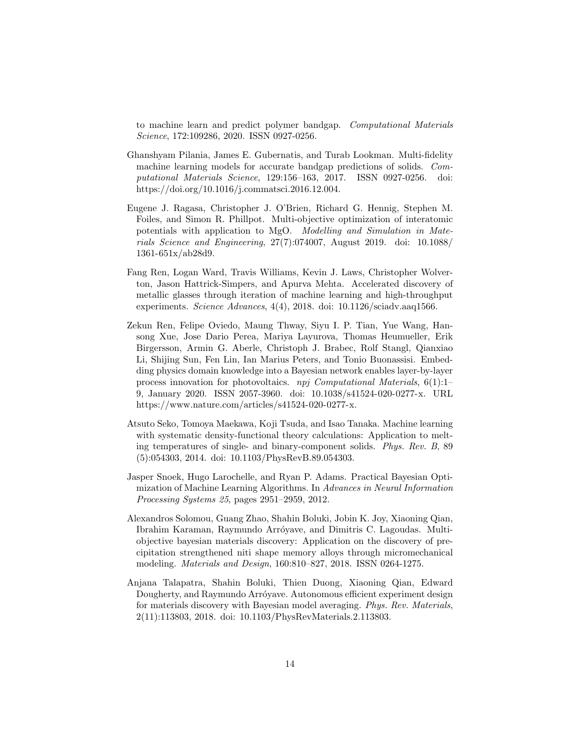to machine learn and predict polymer bandgap. Computational Materials Science, 172:109286, 2020. ISSN 0927-0256.

- <span id="page-13-2"></span>Ghanshyam Pilania, James E. Gubernatis, and Turab Lookman. Multi-fidelity machine learning models for accurate bandgap predictions of solids. Computational Materials Science, 129:156–163, 2017. ISSN 0927-0256. doi: https://doi.org/10.1016/j.commatsci.2016.12.004.
- <span id="page-13-7"></span>Eugene J. Ragasa, Christopher J. O'Brien, Richard G. Hennig, Stephen M. Foiles, and Simon R. Phillpot. Multi-objective optimization of interatomic potentials with application to MgO. Modelling and Simulation in Materials Science and Engineering, 27(7):074007, August 2019. doi: 10.1088/ 1361-651x/ab28d9.
- <span id="page-13-4"></span>Fang Ren, Logan Ward, Travis Williams, Kevin J. Laws, Christopher Wolverton, Jason Hattrick-Simpers, and Apurva Mehta. Accelerated discovery of metallic glasses through iteration of machine learning and high-throughput experiments. Science Advances, 4(4), 2018. doi: 10.1126/sciadv.aaq1566.
- <span id="page-13-5"></span>Zekun Ren, Felipe Oviedo, Maung Thway, Siyu I. P. Tian, Yue Wang, Hansong Xue, Jose Dario Perea, Mariya Layurova, Thomas Heumueller, Erik Birgersson, Armin G. Aberle, Christoph J. Brabec, Rolf Stangl, Qianxiao Li, Shijing Sun, Fen Lin, Ian Marius Peters, and Tonio Buonassisi. Embedding physics domain knowledge into a Bayesian network enables layer-by-layer process innovation for photovoltaics. npj Computational Materials,  $6(1)$ :1– 9, January 2020. ISSN 2057-3960. doi: 10.1038/s41524-020-0277-x. URL [https://www.nature.com/articles/s41524-020-0277-x.](https://www.nature.com/articles/s41524-020-0277-x)
- <span id="page-13-3"></span>Atsuto Seko, Tomoya Maekawa, Koji Tsuda, and Isao Tanaka. Machine learning with systematic density-functional theory calculations: Application to melting temperatures of single- and binary-component solids. Phys. Rev. B, 89 (5):054303, 2014. doi: 10.1103/PhysRevB.89.054303.
- <span id="page-13-0"></span>Jasper Snoek, Hugo Larochelle, and Ryan P. Adams. Practical Bayesian Optimization of Machine Learning Algorithms. In Advances in Neural Information Processing Systems 25, pages 2951–2959, 2012.
- <span id="page-13-6"></span>Alexandros Solomou, Guang Zhao, Shahin Boluki, Jobin K. Joy, Xiaoning Qian, Ibrahim Karaman, Raymundo Arróyave, and Dimitris C. Lagoudas. Multiobjective bayesian materials discovery: Application on the discovery of precipitation strengthened niti shape memory alloys through micromechanical modeling. Materials and Design, 160:810–827, 2018. ISSN 0264-1275.
- <span id="page-13-1"></span>Anjana Talapatra, Shahin Boluki, Thien Duong, Xiaoning Qian, Edward Dougherty, and Raymundo Arróyave. Autonomous efficient experiment design for materials discovery with Bayesian model averaging. Phys. Rev. Materials, 2(11):113803, 2018. doi: 10.1103/PhysRevMaterials.2.113803.